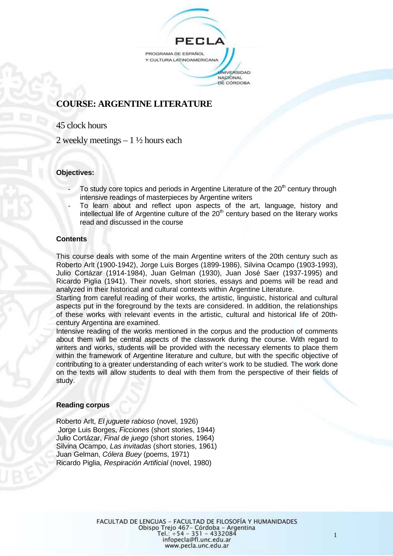

# **COURSE: ARGENTINE LITERATURE**

45 clock hours

2 weekly meetings  $-1\frac{1}{2}$  hours each

## **Objectives:**

- To study core topics and periods in Argentine Literature of the  $20<sup>th</sup>$  century through intensive readings of masterpieces by Argentine writers
- To learn about and reflect upon aspects of the art, language, history and intellectual life of Argentine culture of the  $20<sup>th</sup>$  century based on the literary works read and discussed in the course

#### **Contents**

This course deals with some of the main Argentine writers of the 20th century such as Roberto Arlt (1900-1942), Jorge Luis Borges (1899-1986), Silvina Ocampo (1903-1993), Julio Cortázar (1914-1984), Juan Gelman (1930), Juan José Saer (1937-1995) and Ricardo Piglia (1941). Their novels, short stories, essays and poems will be read and analyzed in their historical and cultural contexts within Argentine Literature.

Starting from careful reading of their works, the artistic, linguistic, historical and cultural aspects put in the foreground by the texts are considered. In addition, the relationships of these works with relevant events in the artistic, cultural and historical life of 20thcentury Argentina are examined.

Intensive reading of the works mentioned in the corpus and the production of comments about them will be central aspects of the classwork during the course. With regard to writers and works, students will be provided with the necessary elements to place them within the framework of Argentine literature and culture, but with the specific objective of contributing to a greater understanding of each writer's work to be studied. The work done on the texts will allow students to deal with them from the perspective of their fields of study.

## **Reading corpus**

Roberto Arlt, *El juguete rabioso* (novel, 1926) Jorge Luis Borges, *Ficciones* (short stories, 1944) Julio Cortázar, *Final de juego* (short stories, 1964) Silvina Ocampo, *Las invitadas* (short stories, 1961) Juan Gelman, *Cólera Buey* (poems, 1971) Ricardo Piglia, *Respiración Artificial* (novel, 1980)

1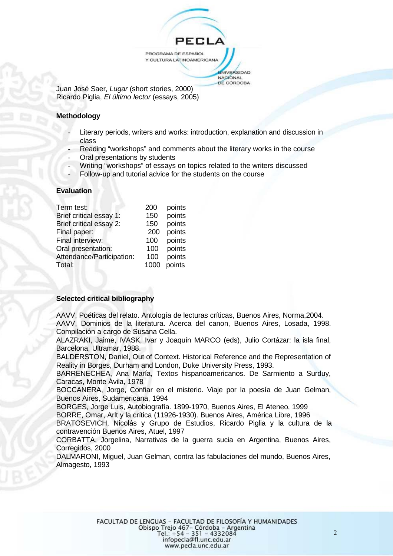**PFC** PROGRAMA DE ESPAÑOL Y CULTURA LATINOAMERICANA **NIVERSIDAD** NACIONAL DE CÓRDOBA

Juan José Saer, *Lugar* (short stories, 2000) Ricardo Piglia, *El último lector* (essays, 2005)

## **Methodology**

- Literary periods, writers and works: introduction, explanation and discussion in class
- Reading "workshops" and comments about the literary works in the course
- Oral presentations by students
- Writing "workshops" of essays on topics related to the writers discussed
- Follow-up and tutorial advice for the students on the course

#### **Evaluation**

| Term test:                | 200  | points |
|---------------------------|------|--------|
| Brief critical essay 1:   | 150  | points |
| Brief critical essay 2:   | 150  | points |
| Final paper:              | 200  | points |
| Final interview:          | 100  | points |
| Oral presentation:        | 100  | points |
| Attendance/Participation: | 100  | points |
| Total:                    | 1000 | points |
|                           |      |        |

## **Selected critical bibliography**

AAVV, Poéticas del relato. Antología de lecturas críticas, Buenos Aires, Norma,2004. AAVV, Dominios de la literatura. Acerca del canon, Buenos Aires, Losada, 1998. Compilación a cargo de Susana Cella.

ALAZRAKI, Jaime, IVASK, Ivar y Joaquín MARCO (eds), Julio Cortázar: la isla final, Barcelona, Ultramar, 1988.

BALDERSTON, Daniel, Out of Context. Historical Reference and the Representation of Reality in Borges, Durham and London, Duke University Press, 1993.

BARRENECHEA, Ana María, Textos hispanoamericanos. De Sarmiento a Surduy, Caracas, Monte Ávila, 1978

BOCCANERA, Jorge, Confiar en el misterio. Viaje por la poesía de Juan Gelman, Buenos Aires, Sudamericana, 1994

BORGES, Jorge Luis, Autobiografía. 1899-1970, Buenos Aires, El Ateneo, 1999 BORRE, Omar, Arlt y la crítica (11926-1930). Buenos Aires, América Libre, 1996

BRATOSEVICH, Nicolás y Grupo de Estudios, Ricardo Piglia y la cultura de la contravención Buenos Aires, Atuel, 1997

CORBATTA, Jorgelina, Narrativas de la guerra sucia en Argentina, Buenos Aires, Corregidos, 2000

DALMARONI, Miguel, Juan Gelman, contra las fabulaciones del mundo, Buenos Aires, Almagesto, 1993